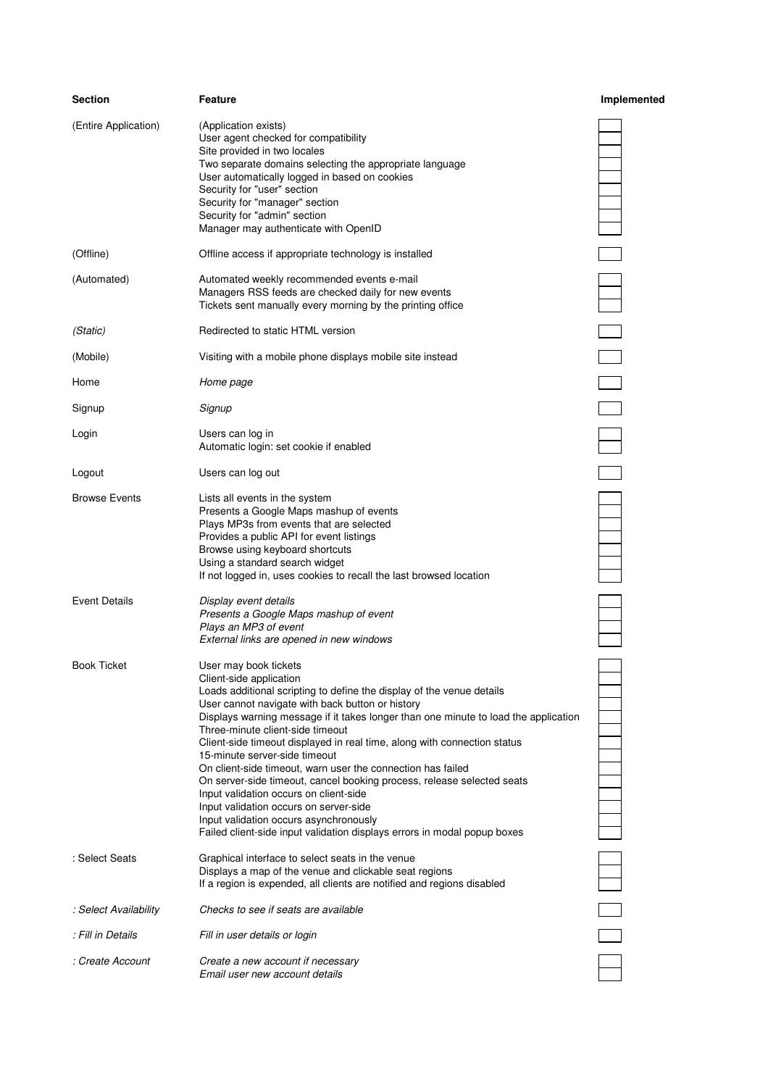| <b>Section</b>        | <b>Feature</b>                                                                                                                                                                                                                                                                                                                                                                                                                                                                                                                                                                                                                                                                                                                                                           | Implemented              |
|-----------------------|--------------------------------------------------------------------------------------------------------------------------------------------------------------------------------------------------------------------------------------------------------------------------------------------------------------------------------------------------------------------------------------------------------------------------------------------------------------------------------------------------------------------------------------------------------------------------------------------------------------------------------------------------------------------------------------------------------------------------------------------------------------------------|--------------------------|
| (Entire Application)  | (Application exists)<br>User agent checked for compatibility<br>Site provided in two locales<br>Two separate domains selecting the appropriate language<br>User automatically logged in based on cookies<br>Security for "user" section<br>Security for "manager" section<br>Security for "admin" section<br>Manager may authenticate with OpenID                                                                                                                                                                                                                                                                                                                                                                                                                        |                          |
| (Offline)             | Offline access if appropriate technology is installed                                                                                                                                                                                                                                                                                                                                                                                                                                                                                                                                                                                                                                                                                                                    |                          |
| (Automated)           | Automated weekly recommended events e-mail<br>Managers RSS feeds are checked daily for new events<br>Tickets sent manually every morning by the printing office                                                                                                                                                                                                                                                                                                                                                                                                                                                                                                                                                                                                          |                          |
| (Static)              | Redirected to static HTML version                                                                                                                                                                                                                                                                                                                                                                                                                                                                                                                                                                                                                                                                                                                                        |                          |
| (Mobile)              | Visiting with a mobile phone displays mobile site instead                                                                                                                                                                                                                                                                                                                                                                                                                                                                                                                                                                                                                                                                                                                | $\overline{\phantom{a}}$ |
| Home                  | Home page                                                                                                                                                                                                                                                                                                                                                                                                                                                                                                                                                                                                                                                                                                                                                                |                          |
| Signup                | Signup                                                                                                                                                                                                                                                                                                                                                                                                                                                                                                                                                                                                                                                                                                                                                                   |                          |
| Login                 | Users can log in<br>Automatic login: set cookie if enabled                                                                                                                                                                                                                                                                                                                                                                                                                                                                                                                                                                                                                                                                                                               |                          |
| Logout                | Users can log out                                                                                                                                                                                                                                                                                                                                                                                                                                                                                                                                                                                                                                                                                                                                                        |                          |
| <b>Browse Events</b>  | Lists all events in the system<br>Presents a Google Maps mashup of events<br>Plays MP3s from events that are selected<br>Provides a public API for event listings<br>Browse using keyboard shortcuts<br>Using a standard search widget<br>If not logged in, uses cookies to recall the last browsed location                                                                                                                                                                                                                                                                                                                                                                                                                                                             |                          |
| <b>Event Details</b>  | Display event details<br>Presents a Google Maps mashup of event<br>Plays an MP3 of event<br>External links are opened in new windows                                                                                                                                                                                                                                                                                                                                                                                                                                                                                                                                                                                                                                     |                          |
| <b>Book Ticket</b>    | User may book tickets<br>Client-side application<br>Loads additional scripting to define the display of the venue details<br>User cannot navigate with back button or history<br>Displays warning message if it takes longer than one minute to load the application<br>Three-minute client-side timeout<br>Client-side timeout displayed in real time, along with connection status<br>15-minute server-side timeout<br>On client-side timeout, warn user the connection has failed<br>On server-side timeout, cancel booking process, release selected seats<br>Input validation occurs on client-side<br>Input validation occurs on server-side<br>Input validation occurs asynchronously<br>Failed client-side input validation displays errors in modal popup boxes |                          |
| : Select Seats        | Graphical interface to select seats in the venue<br>Displays a map of the venue and clickable seat regions<br>If a region is expended, all clients are notified and regions disabled                                                                                                                                                                                                                                                                                                                                                                                                                                                                                                                                                                                     |                          |
| : Select Availability | Checks to see if seats are available                                                                                                                                                                                                                                                                                                                                                                                                                                                                                                                                                                                                                                                                                                                                     |                          |
| : Fill in Details     | Fill in user details or login                                                                                                                                                                                                                                                                                                                                                                                                                                                                                                                                                                                                                                                                                                                                            |                          |
| : Create Account      | Create a new account if necessary<br>Email user new account details                                                                                                                                                                                                                                                                                                                                                                                                                                                                                                                                                                                                                                                                                                      |                          |